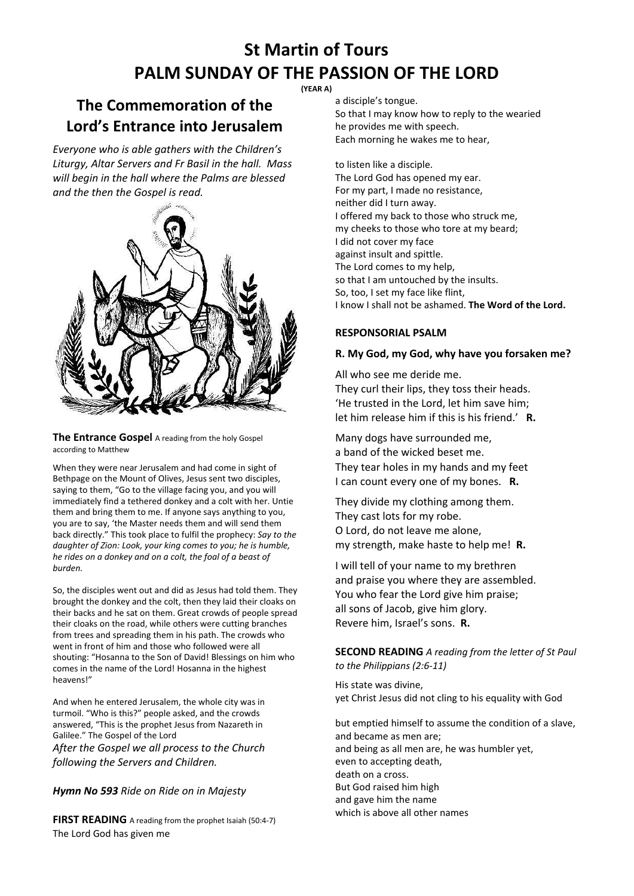# **St Martin of Tours PALM SUNDAY OF THE PASSION OF THE LORD**

#### **(YEAR A)**

### **The Commemoration of the Lord's Entrance into Jerusalem**

*Everyone who is able gathers with the Children's Liturgy, Altar Servers and Fr Basil in the hall. Mass will begin in the hall where the Palms are blessed and the then the Gospel is read.*



**The Entrance Gospel** A reading from the holy Gospel according to Matthew

When they were near Jerusalem and had come in sight of Bethpage on the Mount of Olives, Jesus sent two disciples, saying to them, "Go to the village facing you, and you will immediately find a tethered donkey and a colt with her. Untie them and bring them to me. If anyone says anything to you, you are to say, 'the Master needs them and will send them back directly." This took place to fulfil the prophecy: *Say to the daughter of Zion: Look, your king comes to you; he is humble, he rides on a donkey and on a colt, the foal of a beast of burden.*

So, the disciples went out and did as Jesus had told them. They brought the donkey and the colt, then they laid their cloaks on their backs and he sat on them. Great crowds of people spread their cloaks on the road, while others were cutting branches from trees and spreading them in his path. The crowds who went in front of him and those who followed were all shouting: "Hosanna to the Son of David! Blessings on him who comes in the name of the Lord! Hosanna in the highest heavens!"

And when he entered Jerusalem, the whole city was in turmoil. "Who is this?" people asked, and the crowds answered, "This is the prophet Jesus from Nazareth in Galilee." The Gospel of the Lord *After the Gospel we all process to the Church following the Servers and Children.*

#### *Hymn No 593 Ride on Ride on in Majesty*

**FIRST READING** A reading from the prophet Isaiah (50:4-7) The Lord God has given me

a disciple's tongue.

So that I may know how to reply to the wearied he provides me with speech. Each morning he wakes me to hear,

to listen like a disciple. The Lord God has opened my ear. For my part, I made no resistance, neither did I turn away. I offered my back to those who struck me, my cheeks to those who tore at my beard; I did not cover my face against insult and spittle. The Lord comes to my help, so that I am untouched by the insults. So, too, I set my face like flint, I know I shall not be ashamed. **The Word of the Lord.**

#### **RESPONSORIAL PSALM**

#### **R. My God, my God, why have you forsaken me?**

All who see me deride me. They curl their lips, they toss their heads. 'He trusted in the Lord, let him save him; let him release him if this is his friend.' **R.**

Many dogs have surrounded me, a band of the wicked beset me. They tear holes in my hands and my feet I can count every one of my bones. **R.**

They divide my clothing among them. They cast lots for my robe. O Lord, do not leave me alone, my strength, make haste to help me! **R.**

I will tell of your name to my brethren and praise you where they are assembled. You who fear the Lord give him praise; all sons of Jacob, give him glory. Revere him, Israel's sons. **R.**

#### **SECOND READING** *A reading from the letter of St Paul to the Philippians (2:6-11)*

His state was divine, yet Christ Jesus did not cling to his equality with God

but emptied himself to assume the condition of a slave, and became as men are; and being as all men are, he was humbler yet, even to accepting death, death on a cross. But God raised him high and gave him the name which is above all other names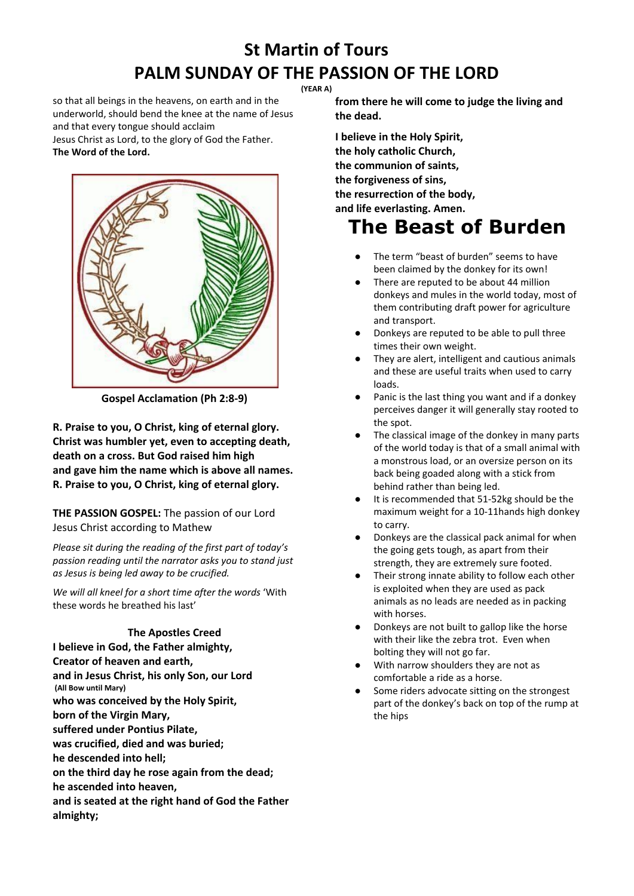# **St Martin of Tours PALM SUNDAY OF THE PASSION OF THE LORD**

**(YEAR A)**

so that all beings in the heavens, on earth and in the underworld, should bend the knee at the name of Jesus and that every tongue should acclaim

Jesus Christ as Lord, to the glory of God the Father. **The Word of the Lord.**



**Gospel Acclamation (Ph 2:8-9)**

**R. Praise to you, O Christ, king of eternal glory. Christ was humbler yet, even to accepting death, death on a cross. But God raised him high and gave him the name which is above all names. R. Praise to you, O Christ, king of eternal glory.**

**THE PASSION GOSPEL:** The passion of our Lord Jesus Christ according to Mathew

*Please sit during the reading of the first part of today's passion reading until the narrator asks you to stand just as Jesus is being led away to be crucified.*

*We will all kneel for a short time after the words* 'With these words he breathed his last'

#### **The Apostles Creed**

**I believe in God, the Father almighty, Creator of heaven and earth, and in Jesus Christ, his only Son, our Lord (All Bow until Mary) who was conceived by the Holy Spirit, born of the Virgin Mary, suffered under Pontius Pilate, was crucified, died and was buried; he descended into hell; on the third day he rose again from the dead; he ascended into heaven, and is seated at the right hand of God the Father almighty;**

**from there he will come to judge the living and the dead.**

**I believe in the Holy Spirit, the holy catholic Church, the communion of saints, the forgiveness of sins, the resurrection of the body, and life everlasting. Amen.**

# **The Beast of Burden**

- The term "beast of burden" seems to have been claimed by the donkey for its own!
- There are reputed to be about 44 million donkeys and mules in the world today, most of them contributing draft power for agriculture and transport.
- Donkeys are reputed to be able to pull three times their own weight.
- They are alert, intelligent and cautious animals and these are useful traits when used to carry loads.
- Panic is the last thing you want and if a donkey perceives danger it will generally stay rooted to the spot.
- The classical image of the donkey in many parts of the world today is that of a small animal with a monstrous load, or an oversize person on its back being goaded along with a stick from behind rather than being led.
- It is recommended that 51-52kg should be the maximum weight for a 10-11hands high donkey to carry.
- Donkeys are the classical pack animal for when the going gets tough, as apart from their strength, they are extremely sure footed.
- Their strong innate ability to follow each other is exploited when they are used as pack animals as no leads are needed as in packing with horses.
- Donkeys are not built to gallop like the horse with their like the zebra trot. Even when bolting they will not go far.
- With narrow shoulders they are not as comfortable a ride as a horse.
- Some riders advocate sitting on the strongest part of the donkey's back on top of the rump at the hips